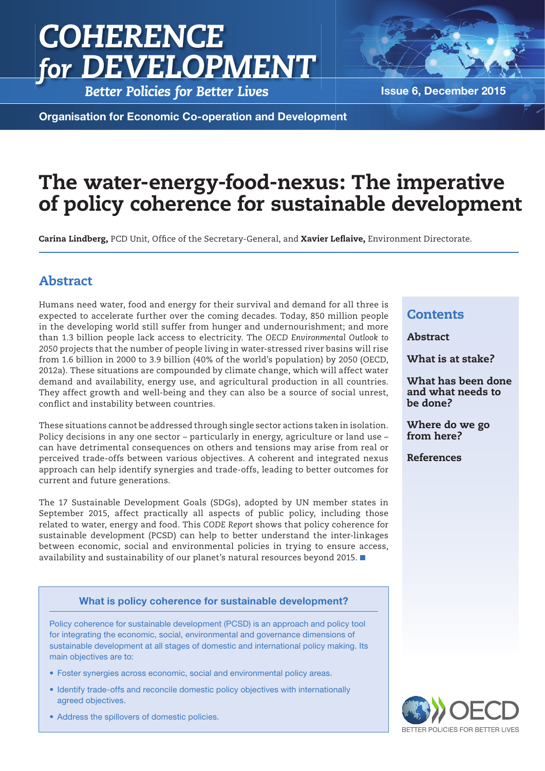# *COHERENCE for DEVELOPMENT*

**Better Policies for Better Lives Issue 6, December 2015** 

Organisation for Economic Co-operation and Development

## The water-energy-food-nexus: The imperative of policy coherence for sustainable development

**Carina Lindberg, PCD Unit, Office of the Secretary-General, and Xavier Leflaive, Environment Directorate.** 

### Abstract

Humans need water, food and energy for their survival and demand for all three is expected to accelerate further over the coming decades. Today, 850 million people in the developing world still suffer from hunger and undernourishment; and more than 1.3 billion people lack access to electricity. The *OECD Environmental Outlook to 2050* projects that the number of people living in water-stressed river basins will rise from 1.6 billion in 2000 to 3.9 billion (40% of the world's population) by 2050 (OECD, 2012a). These situations are compounded by climate change, which will affect water demand and availability, energy use, and agricultural production in all countries. They affect growth and well-being and they can also be a source of social unrest, conflict and instability between countries.

These situations cannot be addressed through single sector actions taken in isolation. Policy decisions in any one sector – particularly in energy, agriculture or land use – can have detrimental consequences on others and tensions may arise from real or perceived trade-offs between various objectives. A coherent and integrated nexus approach can help identify synergies and trade-offs, leading to better outcomes for current and future generations.

The 17 Sustainable Development Goals (SDGs), adopted by UN member states in September 2015, affect practically all aspects of public policy, including those related to water, energy and food. This *CODE Report* shows that policy coherence for sustainable development (PCSD) can help to better understand the inter-linkages between economic, social and environmental policies in trying to ensure access, availability and sustainability of our planet's natural resources beyond 2015.

#### What is at stake? What has been done and what needs to

Where do we go from here?

References

be done?

**Contents** 

Abstract

Policy coherence for sustainable development (PCSD) is an approach and policy tool for integrating the economic, social, environmental and governance dimensions of sustainable development at all stages of domestic and international policy making. Its main objectives are to:

What is policy coherence for sustainable development?

- Foster synergies across economic, social and environmental policy areas.
- Identify trade-offs and reconcile domestic policy objectives with internationally agreed objectives.
- Address the spillovers of domestic policies.

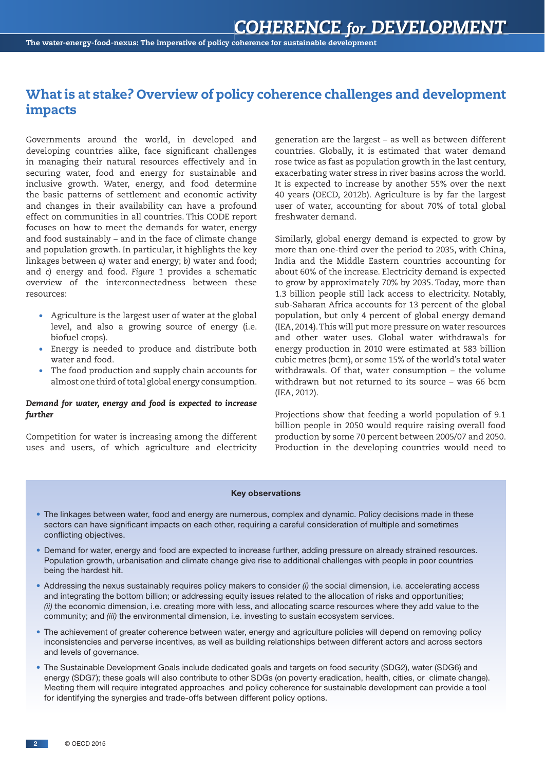#### What is at stake? Overview of policy coherence challenges and development impacts

Governments around the world, in developed and developing countries alike, face significant challenges in managing their natural resources effectively and in securing water, food and energy for sustainable and inclusive growth. Water, energy, and food determine the basic patterns of settlement and economic activity and changes in their availability can have a profound effect on communities in all countries. This CODE report focuses on how to meet the demands for water, energy and food sustainably – and in the face of climate change and population growth. In particular, it highlights the key linkages between *a)* water and energy; *b)* water and food; and *c)* energy and food. *Figure 1* provides a schematic overview of the interconnectedness between these resources:

- Agriculture is the largest user of water at the global level, and also a growing source of energy (i.e. biofuel crops).
- Energy is needed to produce and distribute both water and food.
- The food production and supply chain accounts for almost one third of total global energy consumption.

#### *Demand for water, energy and food is expected to increase further*

Competition for water is increasing among the different uses and users, of which agriculture and electricity generation are the largest – as well as between different countries. Globally, it is estimated that water demand rose twice as fast as population growth in the last century, exacerbating water stress in river basins across the world. It is expected to increase by another 55% over the next 40 years (OECD, 2012b). Agriculture is by far the largest user of water, accounting for about 70% of total global freshwater demand.

Similarly, global energy demand is expected to grow by more than one-third over the period to 2035, with China, India and the Middle Eastern countries accounting for about 60% of the increase. Electricity demand is expected to grow by approximately 70% by 2035. Today, more than 1.3 billion people still lack access to electricity. Notably, sub-Saharan Africa accounts for 13 percent of the global population, but only 4 percent of global energy demand (IEA, 2014). This will put more pressure on water resources and other water uses. Global water withdrawals for energy production in 2010 were estimated at 583 billion cubic metres (bcm), or some 15% of the world's total water withdrawals. Of that, water consumption – the volume withdrawn but not returned to its source – was 66 bcm (IEA, 2012).

Projections show that feeding a world population of 9.1 billion people in 2050 would require raising overall food production by some 70 percent between 2005/07 and 2050. Production in the developing countries would need to

#### Key observations

- The linkages between water, food and energy are numerous, complex and dynamic. Policy decisions made in these sectors can have significant impacts on each other, requiring a careful consideration of multiple and sometimes conflicting objectives.
- Demand for water, energy and food are expected to increase further, adding pressure on already strained resources. Population growth, urbanisation and climate change give rise to additional challenges with people in poor countries being the hardest hit.
- Addressing the nexus sustainably requires policy makers to consider *(i)* the social dimension, i.e. accelerating access and integrating the bottom billion; or addressing equity issues related to the allocation of risks and opportunities; *(ii)* the economic dimension, i.e. creating more with less, and allocating scarce resources where they add value to the community; and *(iii)* the environmental dimension, i.e. investing to sustain ecosystem services.
- The achievement of greater coherence between water, energy and agriculture policies will depend on removing policy inconsistencies and perverse incentives, as well as building relationships between different actors and across sectors and levels of governance.
- The Sustainable Development Goals include dedicated goals and targets on food security (SDG2), water (SDG6) and energy (SDG7); these goals will also contribute to other SDGs (on poverty eradication, health, cities, or climate change). Meeting them will require integrated approaches and policy coherence for sustainable development can provide a tool for identifying the synergies and trade-offs between different policy options.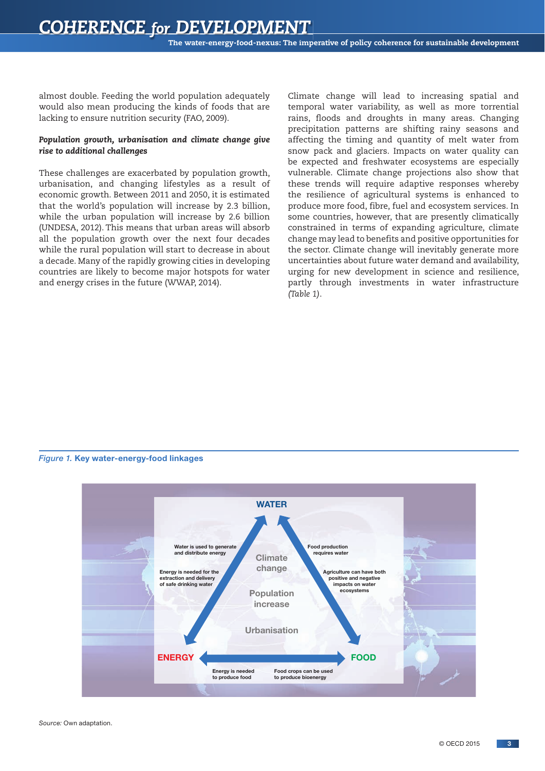almost double. Feeding the world population adequately would also mean producing the kinds of foods that are lacking to ensure nutrition security (FAO, 2009).

#### *Population growth, urbanisation and climate change give rise to additional challenges*

These challenges are exacerbated by population growth, urbanisation, and changing lifestyles as a result of economic growth. Between 2011 and 2050, it is estimated that the world's population will increase by 2.3 billion, while the urban population will increase by 2.6 billion (UNDESA, 2012). This means that urban areas will absorb all the population growth over the next four decades while the rural population will start to decrease in about a decade. Many of the rapidly growing cities in developing countries are likely to become major hotspots for water and energy crises in the future (WWAP, 2014).

Climate change will lead to increasing spatial and temporal water variability, as well as more torrential rains, floods and droughts in many areas. Changing precipitation patterns are shifting rainy seasons and affecting the timing and quantity of melt water from snow pack and glaciers. Impacts on water quality can be expected and freshwater ecosystems are especially vulnerable. Climate change projections also show that these trends will require adaptive responses whereby the resilience of agricultural systems is enhanced to produce more food, fibre, fuel and ecosystem services. In some countries, however, that are presently climatically constrained in terms of expanding agriculture, climate change may lead to benefits and positive opportunities for the sector. Climate change will inevitably generate more uncertainties about future water demand and availability, urging for new development in science and resilience, partly through investments in water infrastructure *(Table 1)*.

#### *Figure 1.* Key water-energy-food linkages

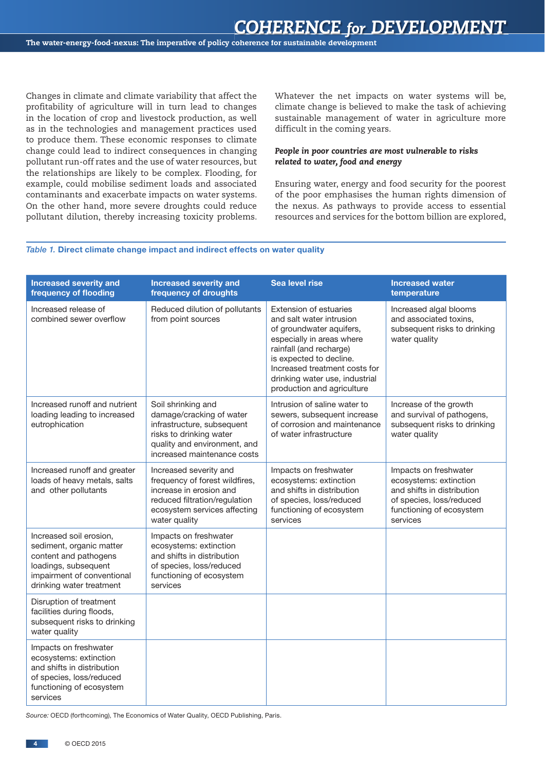Changes in climate and climate variability that affect the profitability of agriculture will in turn lead to changes in the location of crop and livestock production, as well as in the technologies and management practices used to produce them. These economic responses to climate change could lead to indirect consequences in changing pollutant run-off rates and the use of water resources, but the relationships are likely to be complex. Flooding, for example, could mobilise sediment loads and associated contaminants and exacerbate impacts on water systems. On the other hand, more severe droughts could reduce pollutant dilution, thereby increasing toxicity problems. Whatever the net impacts on water systems will be, climate change is believed to make the task of achieving sustainable management of water in agriculture more difficult in the coming years.

#### *People in poor countries are most vulnerable to risks related to water, food and energy*

Ensuring water, energy and food security for the poorest of the poor emphasises the human rights dimension of the nexus. As pathways to provide access to essential resources and services for the bottom billion are explored,

#### *Table 1.* Direct climate change impact and indirect effects on water quality

| <b>Increased severity and</b><br>frequency of flooding                                                                                                         | <b>Increased severity and</b><br>frequency of droughts                                                                                                                 | <b>Sea level rise</b>                                                                                                                                                                                                                                                     | <b>Increased water</b><br>temperature                                                                                                             |
|----------------------------------------------------------------------------------------------------------------------------------------------------------------|------------------------------------------------------------------------------------------------------------------------------------------------------------------------|---------------------------------------------------------------------------------------------------------------------------------------------------------------------------------------------------------------------------------------------------------------------------|---------------------------------------------------------------------------------------------------------------------------------------------------|
| Increased release of<br>combined sewer overflow                                                                                                                | Reduced dilution of pollutants<br>from point sources                                                                                                                   | <b>Extension of estuaries</b><br>and salt water intrusion<br>of groundwater aquifers,<br>especially in areas where<br>rainfall (and recharge)<br>is expected to decline.<br>Increased treatment costs for<br>drinking water use, industrial<br>production and agriculture | Increased algal blooms<br>and associated toxins,<br>subsequent risks to drinking<br>water quality                                                 |
| Increased runoff and nutrient<br>loading leading to increased<br>eutrophication                                                                                | Soil shrinking and<br>damage/cracking of water<br>infrastructure, subsequent<br>risks to drinking water<br>quality and environment, and<br>increased maintenance costs | Intrusion of saline water to<br>sewers, subsequent increase<br>of corrosion and maintenance<br>of water infrastructure                                                                                                                                                    | Increase of the growth<br>and survival of pathogens,<br>subsequent risks to drinking<br>water quality                                             |
| Increased runoff and greater<br>loads of heavy metals, salts<br>and other pollutants                                                                           | Increased severity and<br>frequency of forest wildfires,<br>increase in erosion and<br>reduced filtration/regulation<br>ecosystem services affecting<br>water quality  | Impacts on freshwater<br>ecosystems: extinction<br>and shifts in distribution<br>of species, loss/reduced<br>functioning of ecosystem<br>services                                                                                                                         | Impacts on freshwater<br>ecosystems: extinction<br>and shifts in distribution<br>of species, loss/reduced<br>functioning of ecosystem<br>services |
| Increased soil erosion,<br>sediment, organic matter<br>content and pathogens<br>loadings, subsequent<br>impairment of conventional<br>drinking water treatment | Impacts on freshwater<br>ecosystems: extinction<br>and shifts in distribution<br>of species, loss/reduced<br>functioning of ecosystem<br>services                      |                                                                                                                                                                                                                                                                           |                                                                                                                                                   |
| Disruption of treatment<br>facilities during floods,<br>subsequent risks to drinking<br>water quality                                                          |                                                                                                                                                                        |                                                                                                                                                                                                                                                                           |                                                                                                                                                   |
| Impacts on freshwater<br>ecosystems: extinction<br>and shifts in distribution<br>of species, loss/reduced<br>functioning of ecosystem<br>services              |                                                                                                                                                                        |                                                                                                                                                                                                                                                                           |                                                                                                                                                   |

*Source:* OECD (forthcoming), The Economics of Water Quality, OECD Publishing, Paris.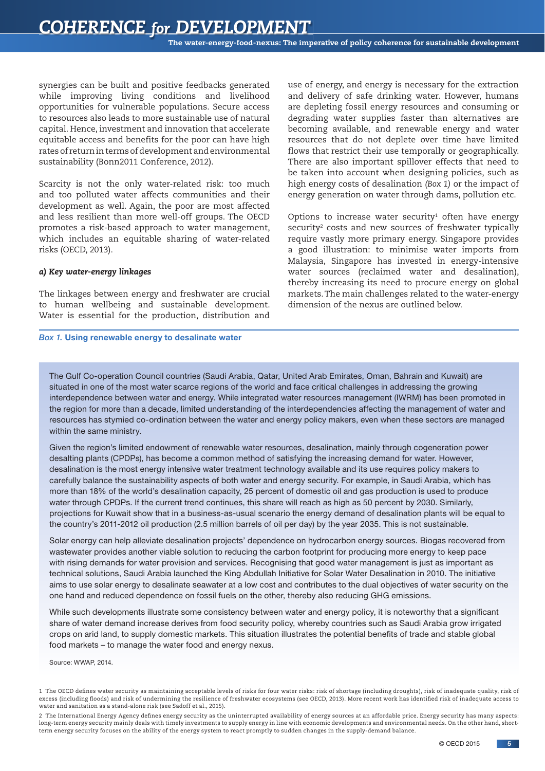synergies can be built and positive feedbacks generated while improving living conditions and livelihood opportunities for vulnerable populations. Secure access to resources also leads to more sustainable use of natural capital. Hence, investment and innovation that accelerate equitable access and benefits for the poor can have high rates of return in terms of development and environmental sustainability (Bonn2011 Conference, 2012).

Scarcity is not the only water-related risk: too much and too polluted water affects communities and their development as well. Again, the poor are most affected and less resilient than more well-off groups. The OECD promotes a risk-based approach to water management, which includes an equitable sharing of water-related risks (OECD, 2013).

#### *a) Key water-energy linkages*

The linkages between energy and freshwater are crucial to human wellbeing and sustainable development. Water is essential for the production, distribution and

#### *Box 1.* Using renewable energy to desalinate water

use of energy, and energy is necessary for the extraction and delivery of safe drinking water. However, humans are depleting fossil energy resources and consuming or degrading water supplies faster than alternatives are becoming available, and renewable energy and water resources that do not deplete over time have limited flows that restrict their use temporally or geographically. There are also important spillover effects that need to be taken into account when designing policies, such as high energy costs of desalination *(Box 1)* or the impact of energy generation on water through dams, pollution etc.

Options to increase water security $1$  often have energy security<sup>2</sup> costs and new sources of freshwater typically require vastly more primary energy. Singapore provides a good illustration: to minimise water imports from Malaysia, Singapore has invested in energy-intensive water sources (reclaimed water and desalination), thereby increasing its need to procure energy on global markets. The main challenges related to the water-energy dimension of the nexus are outlined below.

The Gulf Co-operation Council countries (Saudi Arabia, Qatar, United Arab Emirates, Oman, Bahrain and Kuwait) are situated in one of the most water scarce regions of the world and face critical challenges in addressing the growing interdependence between water and energy. While integrated water resources management (IWRM) has been promoted in the region for more than a decade, limited understanding of the interdependencies affecting the management of water and resources has stymied co-ordination between the water and energy policy makers, even when these sectors are managed within the same ministry.

Given the region's limited endowment of renewable water resources, desalination, mainly through cogeneration power desalting plants (CPDPs), has become a common method of satisfying the increasing demand for water. However, desalination is the most energy intensive water treatment technology available and its use requires policy makers to carefully balance the sustainability aspects of both water and energy security. For example, in Saudi Arabia, which has more than 18% of the world's desalination capacity, 25 percent of domestic oil and gas production is used to produce water through CPDPs. If the current trend continues, this share will reach as high as 50 percent by 2030. Similarly, projections for Kuwait show that in a business-as-usual scenario the energy demand of desalination plants will be equal to the country's 2011-2012 oil production (2.5 million barrels of oil per day) by the year 2035. This is not sustainable.

Solar energy can help alleviate desalination projects' dependence on hydrocarbon energy sources. Biogas recovered from wastewater provides another viable solution to reducing the carbon footprint for producing more energy to keep pace with rising demands for water provision and services. Recognising that good water management is just as important as technical solutions, Saudi Arabia launched the King Abdullah Initiative for Solar Water Desalination in 2010. The initiative aims to use solar energy to desalinate seawater at a low cost and contributes to the dual objectives of water security on the one hand and reduced dependence on fossil fuels on the other, thereby also reducing GHG emissions.

While such developments illustrate some consistency between water and energy policy, it is noteworthy that a significant share of water demand increase derives from food security policy, whereby countries such as Saudi Arabia grow irrigated crops on arid land, to supply domestic markets. This situation illustrates the potential benefits of trade and stable global food markets – to manage the water food and energy nexus.

Source: WWAP, 2014.

<sup>1</sup> The OECD defines water security as maintaining acceptable levels of risks for four water risks: risk of shortage (including droughts), risk of inadequate quality, risk of excess (including floods) and risk of undermining the resilience of freshwater ecosystems (see OECD, 2013). More recent work has identified risk of inadequate access to water and sanitation as a stand-alone risk (see Sadoff et al., 2015).

<sup>2</sup> The International Energy Agency defines energy security as the uninterrupted availability of energy sources at an affordable price. Energy security has many aspects: long-term energy security mainly deals with timely investments to supply energy in line with economic developments and environmental needs. On the other hand, shortterm energy security focuses on the ability of the energy system to react promptly to sudden changes in the supply-demand balance.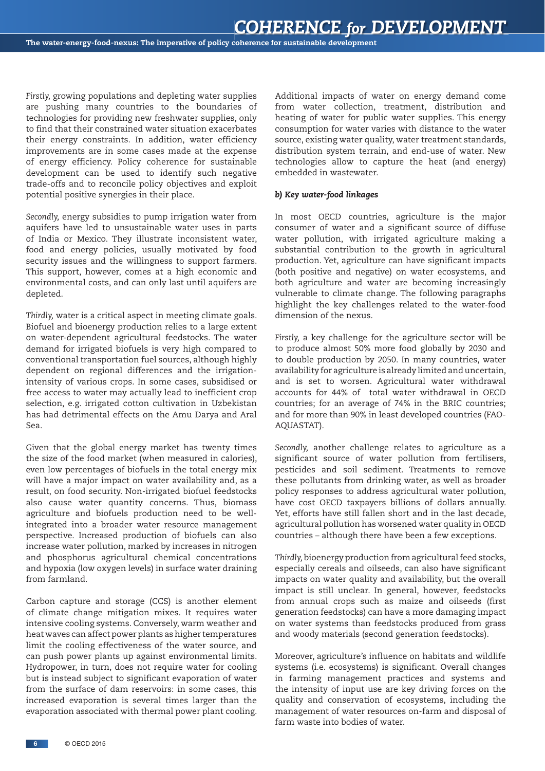*Firstly,* growing populations and depleting water supplies are pushing many countries to the boundaries of technologies for providing new freshwater supplies, only to find that their constrained water situation exacerbates their energy constraints. In addition, water efficiency improvements are in some cases made at the expense of energy efficiency. Policy coherence for sustainable development can be used to identify such negative trade-offs and to reconcile policy objectives and exploit potential positive synergies in their place.

*Secondly,* energy subsidies to pump irrigation water from aquifers have led to unsustainable water uses in parts of India or Mexico. They illustrate inconsistent water, food and energy policies, usually motivated by food security issues and the willingness to support farmers. This support, however, comes at a high economic and environmental costs, and can only last until aquifers are depleted.

*Thirdly,* water is a critical aspect in meeting climate goals. Biofuel and bioenergy production relies to a large extent on water-dependent agricultural feedstocks. The water demand for irrigated biofuels is very high compared to conventional transportation fuel sources, although highly dependent on regional differences and the irrigationintensity of various crops. In some cases, subsidised or free access to water may actually lead to inefficient crop selection, e.g. irrigated cotton cultivation in Uzbekistan has had detrimental effects on the Amu Darya and Aral Sea.

Given that the global energy market has twenty times the size of the food market (when measured in calories), even low percentages of biofuels in the total energy mix will have a major impact on water availability and, as a result, on food security. Non-irrigated biofuel feedstocks also cause water quantity concerns. Thus, biomass agriculture and biofuels production need to be wellintegrated into a broader water resource management perspective. Increased production of biofuels can also increase water pollution, marked by increases in nitrogen and phosphorus agricultural chemical concentrations and hypoxia (low oxygen levels) in surface water draining from farmland.

Carbon capture and storage (CCS) is another element of climate change mitigation mixes. It requires water intensive cooling systems. Conversely, warm weather and heat waves can affect power plants as higher temperatures limit the cooling effectiveness of the water source, and can push power plants up against environmental limits. Hydropower, in turn, does not require water for cooling but is instead subject to significant evaporation of water from the surface of dam reservoirs: in some cases, this increased evaporation is several times larger than the evaporation associated with thermal power plant cooling.

Additional impacts of water on energy demand come from water collection, treatment, distribution and heating of water for public water supplies. This energy consumption for water varies with distance to the water source, existing water quality, water treatment standards, distribution system terrain, and end-use of water. New technologies allow to capture the heat (and energy) embedded in wastewater.

#### *b) Key water-food linkages*

In most OECD countries, agriculture is the major consumer of water and a significant source of diffuse water pollution, with irrigated agriculture making a substantial contribution to the growth in agricultural production. Yet, agriculture can have significant impacts (both positive and negative) on water ecosystems, and both agriculture and water are becoming increasingly vulnerable to climate change. The following paragraphs highlight the key challenges related to the water-food dimension of the nexus.

*Firstly,* a key challenge for the agriculture sector will be to produce almost 50% more food globally by 2030 and to double production by 2050. In many countries, water availability for agriculture is already limited and uncertain, and is set to worsen. Agricultural water withdrawal accounts for 44% of total water withdrawal in OECD countries; for an average of 74% in the BRIC countries; and for more than 90% in least developed countries (FAO-AQUASTAT).

*Secondly,* another challenge relates to agriculture as a significant source of water pollution from fertilisers, pesticides and soil sediment. Treatments to remove these pollutants from drinking water, as well as broader policy responses to address agricultural water pollution, have cost OECD taxpayers billions of dollars annually. Yet, efforts have still fallen short and in the last decade, agricultural pollution has worsened water quality in OECD countries – although there have been a few exceptions.

*Thirdly,* bioenergy production from agricultural feed stocks, especially cereals and oilseeds, can also have significant impacts on water quality and availability, but the overall impact is still unclear. In general, however, feedstocks from annual crops such as maize and oilseeds (first generation feedstocks) can have a more damaging impact on water systems than feedstocks produced from grass and woody materials (second generation feedstocks).

Moreover, agriculture's influence on habitats and wildlife systems (i.e. ecosystems) is significant. Overall changes in farming management practices and systems and the intensity of input use are key driving forces on the quality and conservation of ecosystems, including the management of water resources on-farm and disposal of farm waste into bodies of water.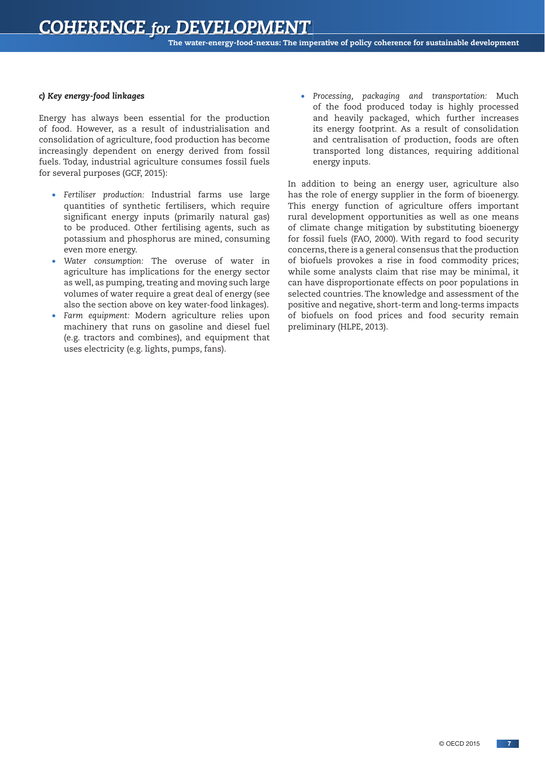#### *c) Key energy-food linkages*

Energy has always been essential for the production of food. However, as a result of industrialisation and consolidation of agriculture, food production has become increasingly dependent on energy derived from fossil fuels. Today, industrial agriculture consumes fossil fuels for several purposes (GCF, 2015):

- *Fertiliser production:* Industrial farms use large quantities of synthetic fertilisers, which require significant energy inputs (primarily natural gas) to be produced. Other fertilising agents, such as potassium and phosphorus are mined, consuming even more energy.
- *Water consumption:* The overuse of water in agriculture has implications for the energy sector as well, as pumping, treating and moving such large volumes of water require a great deal of energy (see also the section above on key water-food linkages).
- *Farm equipment:* Modern agriculture relies upon machinery that runs on gasoline and diesel fuel (e.g. tractors and combines), and equipment that uses electricity (e.g. lights, pumps, fans).

• *Processing, packaging and transportation:* Much of the food produced today is highly processed and heavily packaged, which further increases its energy footprint. As a result of consolidation and centralisation of production, foods are often transported long distances, requiring additional energy inputs.

In addition to being an energy user, agriculture also has the role of energy supplier in the form of bioenergy. This energy function of agriculture offers important rural development opportunities as well as one means of climate change mitigation by substituting bioenergy for fossil fuels (FAO, 2000). With regard to food security concerns, there is a general consensus that the production of biofuels provokes a rise in food commodity prices; while some analysts claim that rise may be minimal, it can have disproportionate effects on poor populations in selected countries. The knowledge and assessment of the positive and negative, short-term and long-terms impacts of biofuels on food prices and food security remain preliminary (HLPE, 2013).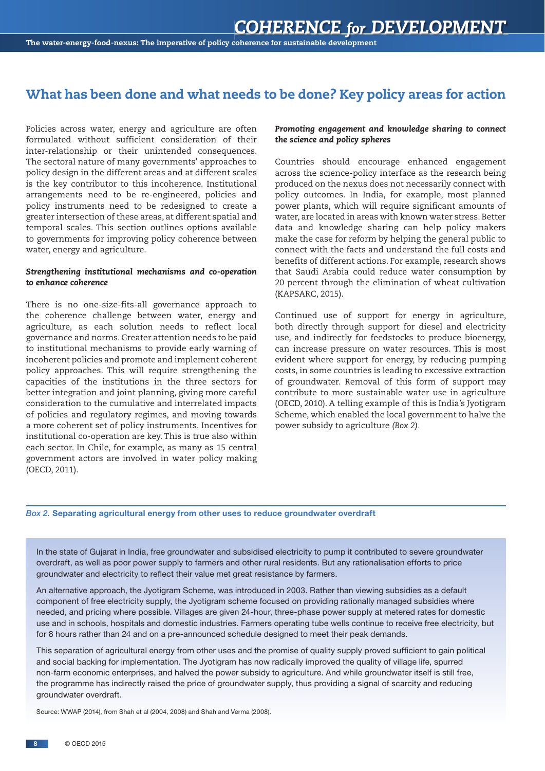#### What has been done and what needs to be done? Key policy areas for action

Policies across water, energy and agriculture are often formulated without sufficient consideration of their inter-relationship or their unintended consequences. The sectoral nature of many governments' approaches to policy design in the different areas and at different scales is the key contributor to this incoherence. Institutional arrangements need to be re-engineered, policies and policy instruments need to be redesigned to create a greater intersection of these areas, at different spatial and temporal scales. This section outlines options available to governments for improving policy coherence between water, energy and agriculture.

#### *Strengthening institutional mechanisms and co-operation to enhance coherence*

There is no one-size-fits-all governance approach to the coherence challenge between water, energy and agriculture, as each solution needs to reflect local governance and norms. Greater attention needs to be paid to institutional mechanisms to provide early warning of incoherent policies and promote and implement coherent policy approaches. This will require strengthening the capacities of the institutions in the three sectors for better integration and joint planning, giving more careful consideration to the cumulative and interrelated impacts of policies and regulatory regimes, and moving towards a more coherent set of policy instruments. Incentives for institutional co-operation are key. This is true also within each sector. In Chile, for example, as many as 15 central government actors are involved in water policy making (OECD, 2011).

#### *Promoting engagement and knowledge sharing to connect the science and policy spheres*

Countries should encourage enhanced engagement across the science-policy interface as the research being produced on the nexus does not necessarily connect with policy outcomes. In India, for example, most planned power plants, which will require significant amounts of water, are located in areas with known water stress. Better data and knowledge sharing can help policy makers make the case for reform by helping the general public to connect with the facts and understand the full costs and benefits of different actions. For example, research shows that Saudi Arabia could reduce water consumption by 20 percent through the elimination of wheat cultivation (KAPSARC, 2015).

Continued use of support for energy in agriculture, both directly through support for diesel and electricity use, and indirectly for feedstocks to produce bioenergy, can increase pressure on water resources. This is most evident where support for energy, by reducing pumping costs, in some countries is leading to excessive extraction of groundwater. Removal of this form of support may contribute to more sustainable water use in agriculture (OECD, 2010). A telling example of this is India's Jyotigram Scheme, which enabled the local government to halve the power subsidy to agriculture *(Box 2).*

#### *Box 2.* Separating agricultural energy from other uses to reduce groundwater overdraft

In the state of Gujarat in India, free groundwater and subsidised electricity to pump it contributed to severe groundwater overdraft, as well as poor power supply to farmers and other rural residents. But any rationalisation efforts to price groundwater and electricity to reflect their value met great resistance by farmers.

An alternative approach, the Jyotigram Scheme, was introduced in 2003. Rather than viewing subsidies as a default component of free electricity supply, the Jyotigram scheme focused on providing rationally managed subsidies where needed, and pricing where possible. Villages are given 24-hour, three-phase power supply at metered rates for domestic use and in schools, hospitals and domestic industries. Farmers operating tube wells continue to receive free electricity, but for 8 hours rather than 24 and on a pre-announced schedule designed to meet their peak demands.

This separation of agricultural energy from other uses and the promise of quality supply proved sufficient to gain political and social backing for implementation. The Jyotigram has now radically improved the quality of village life, spurred non-farm economic enterprises, and halved the power subsidy to agriculture. And while groundwater itself is still free, the programme has indirectly raised the price of groundwater supply, thus providing a signal of scarcity and reducing groundwater overdraft.

Source: WWAP (2014), from Shah et al (2004, 2008) and Shah and Verma (2008).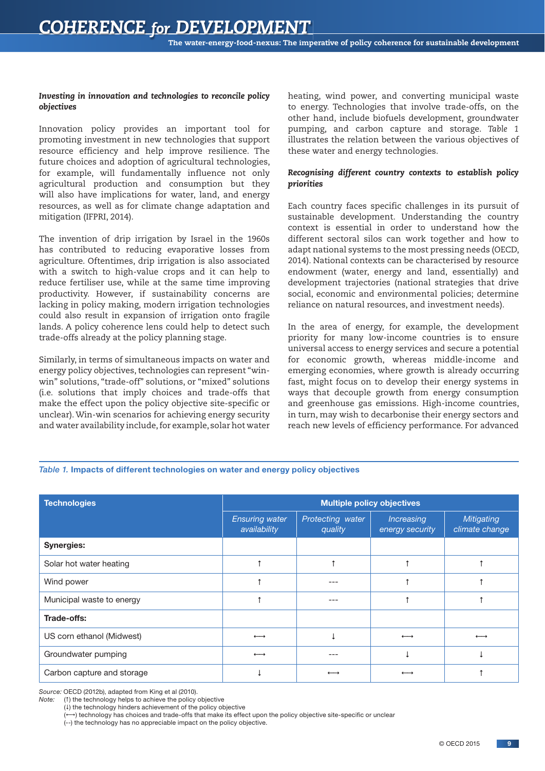#### *Investing in innovation and technologies to reconcile policy objectives*

Innovation policy provides an important tool for promoting investment in new technologies that support resource efficiency and help improve resilience. The future choices and adoption of agricultural technologies, for example, will fundamentally influence not only agricultural production and consumption but they will also have implications for water, land, and energy resources, as well as for climate change adaptation and mitigation (IFPRI, 2014).

The invention of drip irrigation by Israel in the 1960s has contributed to reducing evaporative losses from agriculture. Oftentimes, drip irrigation is also associated with a switch to high-value crops and it can help to reduce fertiliser use, while at the same time improving productivity. However, if sustainability concerns are lacking in policy making, modern irrigation technologies could also result in expansion of irrigation onto fragile lands. A policy coherence lens could help to detect such trade-offs already at the policy planning stage.

Similarly, in terms of simultaneous impacts on water and energy policy objectives, technologies can represent "winwin" solutions, "trade-off" solutions, or "mixed" solutions (i.e. solutions that imply choices and trade-offs that make the effect upon the policy objective site-specific or unclear). Win-win scenarios for achieving energy security and water availability include, for example, solar hot water heating, wind power, and converting municipal waste to energy. Technologies that involve trade-offs, on the other hand, include biofuels development, groundwater pumping, and carbon capture and storage. *Table 1* illustrates the relation between the various objectives of these water and energy technologies.

#### *Recognising different country contexts to establish policy priorities*

Each country faces specific challenges in its pursuit of sustainable development. Understanding the country context is essential in order to understand how the different sectoral silos can work together and how to adapt national systems to the most pressing needs (OECD, 2014). National contexts can be characterised by resource endowment (water, energy and land, essentially) and development trajectories (national strategies that drive social, economic and environmental policies; determine reliance on natural resources, and investment needs).

In the area of energy, for example, the development priority for many low-income countries is to ensure universal access to energy services and secure a potential for economic growth, whereas middle-income and emerging economies, where growth is already occurring fast, might focus on to develop their energy systems in ways that decouple growth from energy consumption and greenhouse gas emissions. High-income countries, in turn, may wish to decarbonise their energy sectors and reach new levels of efficiency performance. For advanced

#### *Table 1.* Impacts of different technologies on water and energy policy objectives

| <b>Technologies</b>        | <b>Multiple policy objectives</b>     |                             |                               |                              |
|----------------------------|---------------------------------------|-----------------------------|-------------------------------|------------------------------|
|                            | <b>Ensuring water</b><br>availability | Protecting water<br>quality | Increasing<br>energy security | Mitigating<br>climate change |
| <b>Synergies:</b>          |                                       |                             |                               |                              |
| Solar hot water heating    |                                       |                             |                               |                              |
| Wind power                 |                                       |                             |                               |                              |
| Municipal waste to energy  |                                       |                             |                               |                              |
| Trade-offs:                |                                       |                             |                               |                              |
| US corn ethanol (Midwest)  | $\overline{\phantom{m}}$              |                             |                               |                              |
| Groundwater pumping        | $\overline{\phantom{m}}$              |                             |                               |                              |
| Carbon capture and storage |                                       |                             |                               |                              |

*Source:* OECD (2012b), adapted from King et al (2010).

*Note:* (1) the technology helps to achieve the policy objective

 $(1)$  the technology hinders achievement of the policy objective

+) technology has choices and trade-offs that make its effect upon the policy objective site-specific or unclear

(--) the technology has no appreciable impact on the policy objective.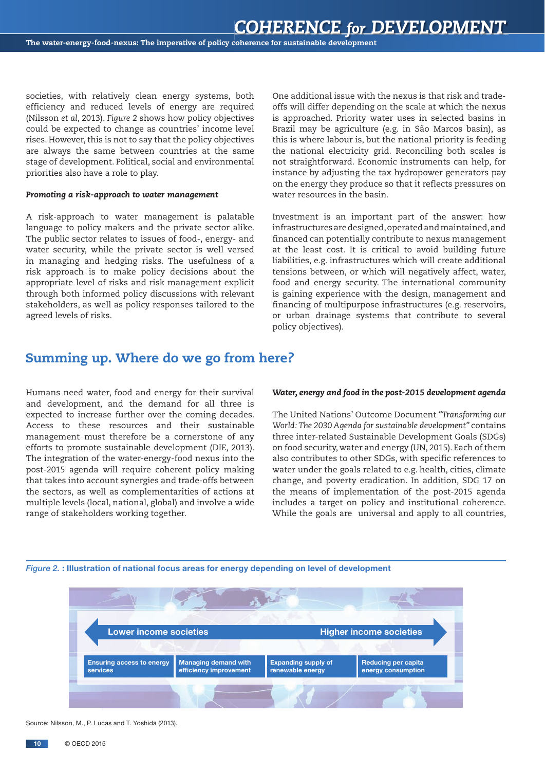societies, with relatively clean energy systems, both efficiency and reduced levels of energy are required (Nilsson *et al*, 2013). *Figure 2* shows how policy objectives could be expected to change as countries' income level rises. However, this is not to say that the policy objectives are always the same between countries at the same stage of development. Political, social and environmental priorities also have a role to play.

#### *Promoting a risk-approach to water management*

A risk-approach to water management is palatable language to policy makers and the private sector alike. The public sector relates to issues of food-, energy- and water security, while the private sector is well versed in managing and hedging risks. The usefulness of a risk approach is to make policy decisions about the appropriate level of risks and risk management explicit through both informed policy discussions with relevant stakeholders, as well as policy responses tailored to the agreed levels of risks.

One additional issue with the nexus is that risk and tradeoffs will differ depending on the scale at which the nexus is approached. Priority water uses in selected basins in Brazil may be agriculture (e.g. in São Marcos basin), as this is where labour is, but the national priority is feeding the national electricity grid. Reconciling both scales is not straightforward. Economic instruments can help, for instance by adjusting the tax hydropower generators pay on the energy they produce so that it reflects pressures on water resources in the basin.

Investment is an important part of the answer: how infrastructures are designed, operated and maintained, and financed can potentially contribute to nexus management at the least cost. It is critical to avoid building future liabilities, e.g. infrastructures which will create additional tensions between, or which will negatively affect, water, food and energy security. The international community is gaining experience with the design, management and financing of multipurpose infrastructures (e.g. reservoirs, or urban drainage systems that contribute to several policy objectives).

#### Summing up. Where do we go from here?

Humans need water, food and energy for their survival and development, and the demand for all three is expected to increase further over the coming decades. Access to these resources and their sustainable management must therefore be a cornerstone of any efforts to promote sustainable development (DIE, 2013). The integration of the water-energy-food nexus into the post-2015 agenda will require coherent policy making that takes into account synergies and trade-offs between the sectors, as well as complementarities of actions at multiple levels (local, national, global) and involve a wide range of stakeholders working together.

#### *Water, energy and food in the post-2015 development agenda*

The United Nations' Outcome Document *"Transforming our World: The 2030 Agenda for sustainable development"* contains three inter-related Sustainable Development Goals (SDGs) on food security, water and energy (UN, 2015). Each of them also contributes to other SDGs, with specific references to water under the goals related to e.g. health, cities, climate change, and poverty eradication. In addition, SDG 17 on the means of implementation of the post-2015 agenda includes a target on policy and institutional coherence. While the goals are universal and apply to all countries,



#### *Figure 2.* : Illustration of national focus areas for energy depending on level of development

Source: Nilsson, M., P. Lucas and T. Yoshida (2013).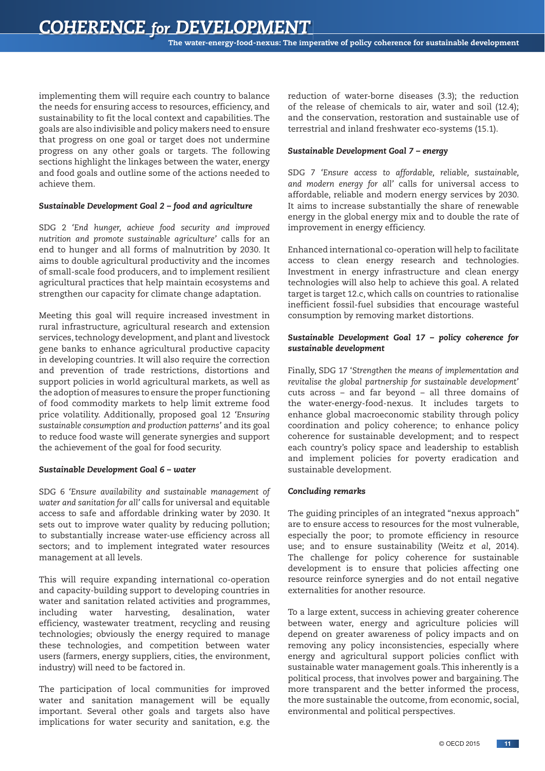implementing them will require each country to balance the needs for ensuring access to resources, efficiency, and sustainability to fit the local context and capabilities. The goals are also indivisible and policy makers need to ensure that progress on one goal or target does not undermine progress on any other goals or targets. The following sections highlight the linkages between the water, energy and food goals and outline some of the actions needed to achieve them.

#### *Sustainable Development Goal 2 – food and agriculture*

SDG 2 *'End hunger, achieve food security and improved nutrition and promote sustainable agriculture'* calls for an end to hunger and all forms of malnutrition by 2030. It aims to double agricultural productivity and the incomes of small-scale food producers, and to implement resilient agricultural practices that help maintain ecosystems and strengthen our capacity for climate change adaptation.

Meeting this goal will require increased investment in rural infrastructure, agricultural research and extension services, technology development, and plant and livestock gene banks to enhance agricultural productive capacity in developing countries. It will also require the correction and prevention of trade restrictions, distortions and support policies in world agricultural markets, as well as the adoption of measures to ensure the proper functioning of food commodity markets to help limit extreme food price volatility. Additionally, proposed goal 12 *'Ensuring sustainable consumption and production patterns'* and its goal to reduce food waste will generate synergies and support the achievement of the goal for food security.

#### *Sustainable Development Goal 6 – water*

SDG 6 *'Ensure availability and sustainable management of water and sanitation for all'* calls for universal and equitable access to safe and affordable drinking water by 2030. It sets out to improve water quality by reducing pollution; to substantially increase water-use efficiency across all sectors; and to implement integrated water resources management at all levels.

This will require expanding international co-operation and capacity-building support to developing countries in water and sanitation related activities and programmes, including water harvesting, desalination, water efficiency, wastewater treatment, recycling and reusing technologies; obviously the energy required to manage these technologies, and competition between water users (farmers, energy suppliers, cities, the environment, industry) will need to be factored in.

The participation of local communities for improved water and sanitation management will be equally important. Several other goals and targets also have implications for water security and sanitation, e.g. the

reduction of water-borne diseases (3.3); the reduction of the release of chemicals to air, water and soil (12.4); and the conservation, restoration and sustainable use of terrestrial and inland freshwater eco-systems (15.1).

#### *Sustainable Development Goal 7 – energy*

SDG 7 *'Ensure access to affordable, reliable, sustainable, and modern energy for all'* calls for universal access to affordable, reliable and modern energy services by 2030. It aims to increase substantially the share of renewable energy in the global energy mix and to double the rate of improvement in energy efficiency.

Enhanced international co-operation will help to facilitate access to clean energy research and technologies. Investment in energy infrastructure and clean energy technologies will also help to achieve this goal. A related target is target 12.c, which calls on countries to rationalise inefficient fossil-fuel subsidies that encourage wasteful consumption by removing market distortions.

#### *Sustainable Development Goal 17 – policy coherence for sustainable development*

Finally, SDG 17 '*Strengthen the means of implementation and revitalise the global partnership for sustainable development'*  cuts across – and far beyond – all three domains of the water-energy-food-nexus. It includes targets to enhance global macroeconomic stability through policy coordination and policy coherence; to enhance policy coherence for sustainable development; and to respect each country's policy space and leadership to establish and implement policies for poverty eradication and sustainable development.

#### *Concluding remarks*

The guiding principles of an integrated "nexus approach" are to ensure access to resources for the most vulnerable, especially the poor; to promote efficiency in resource use; and to ensure sustainability (Weitz *et al*, 2014). The challenge for policy coherence for sustainable development is to ensure that policies affecting one resource reinforce synergies and do not entail negative externalities for another resource.

To a large extent, success in achieving greater coherence between water, energy and agriculture policies will depend on greater awareness of policy impacts and on removing any policy inconsistencies, especially where energy and agricultural support policies conflict with sustainable water management goals. This inherently is a political process, that involves power and bargaining. The more transparent and the better informed the process, the more sustainable the outcome, from economic, social, environmental and political perspectives.